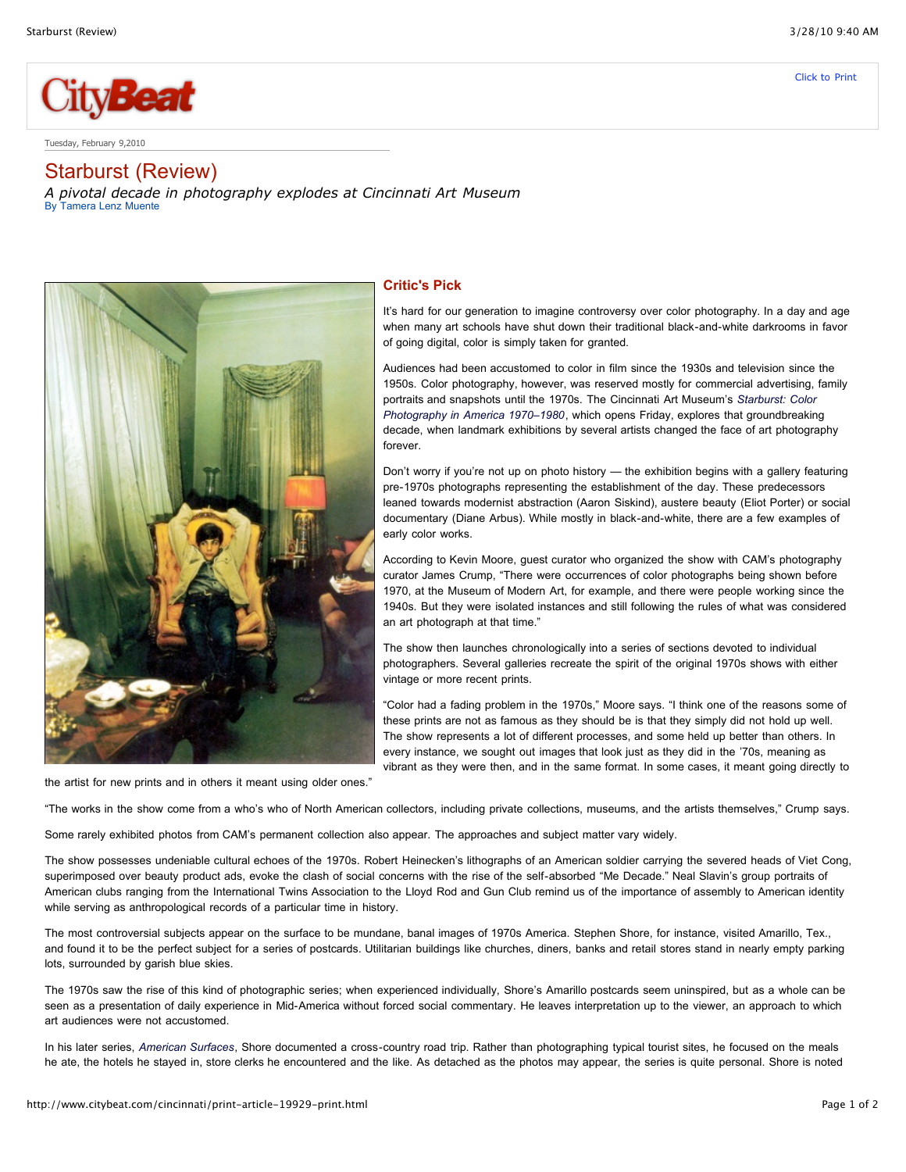

Tuesday, February 9,2010

## Starburst (Review)

*A pivotal decade in photography explodes at Cincinnati Art Museum* By [Tamera](http://www.citybeat.com/cincinnati/articles.by.Author-75.html) Lenz Muente



## **Critic's Pick**

It's hard for our generation to imagine controversy over color photography. In a day and age when many art schools have shut down their traditional black-and-white darkrooms in favor of going digital, color is simply taken for granted.

Audiences had been accustomed to color in film since the 1930s and television since the 1950s. Color photography, however, was reserved mostly for commercial advertising, family portraits and snapshots until the 1970s. The Cincinnati Art Museum's *Starburst: Color Photography in America 1970–1980*, which opens Friday, explores that groundbreaking decade, when landmark exhibitions by several artists changed the face of art photography forever.

Don't worry if you're not up on photo history — the exhibition begins with a gallery featuring pre-1970s photographs representing the establishment of the day. These predecessors leaned towards modernist abstraction (Aaron Siskind), austere beauty (Eliot Porter) or social documentary (Diane Arbus). While mostly in black-and-white, there are a few examples of early color works.

According to Kevin Moore, guest curator who organized the show with CAM's photography curator James Crump, "There were occurrences of color photographs being shown before 1970, at the Museum of Modern Art, for example, and there were people working since the 1940s. But they were isolated instances and still following the rules of what was considered an art photograph at that time."

The show then launches chronologically into a series of sections devoted to individual photographers. Several galleries recreate the spirit of the original 1970s shows with either vintage or more recent prints.

"Color had a fading problem in the 1970s," Moore says. "I think one of the reasons some of these prints are not as famous as they should be is that they simply did not hold up well. The show represents a lot of different processes, and some held up better than others. In every instance, we sought out images that look just as they did in the '70s, meaning as vibrant as they were then, and in the same format. In some cases, it meant going directly to

the artist for new prints and in others it meant using older ones."

"The works in the show come from a who's who of North American collectors, including private collections, museums, and the artists themselves," Crump says.

Some rarely exhibited photos from CAM's permanent collection also appear. The approaches and subject matter vary widely.

The show possesses undeniable cultural echoes of the 1970s. Robert Heinecken's lithographs of an American soldier carrying the severed heads of Viet Cong, superimposed over beauty product ads, evoke the clash of social concerns with the rise of the self-absorbed "Me Decade." Neal Slavin's group portraits of American clubs ranging from the International Twins Association to the Lloyd Rod and Gun Club remind us of the importance of assembly to American identity while serving as anthropological records of a particular time in history.

The most controversial subjects appear on the surface to be mundane, banal images of 1970s America. Stephen Shore, for instance, visited Amarillo, Tex., and found it to be the perfect subject for a series of postcards. Utilitarian buildings like churches, diners, banks and retail stores stand in nearly empty parking lots, surrounded by garish blue skies.

The 1970s saw the rise of this kind of photographic series; when experienced individually, Shore's Amarillo postcards seem uninspired, but as a whole can be seen as a presentation of daily experience in Mid-America without forced social commentary. He leaves interpretation up to the viewer, an approach to which art audiences were not accustomed.

In his later series, *American Surfaces*, Shore documented a cross-country road trip. Rather than photographing typical tourist sites, he focused on the meals he ate, the hotels he stayed in, store clerks he encountered and the like. As detached as the photos may appear, the series is quite personal. Shore is noted